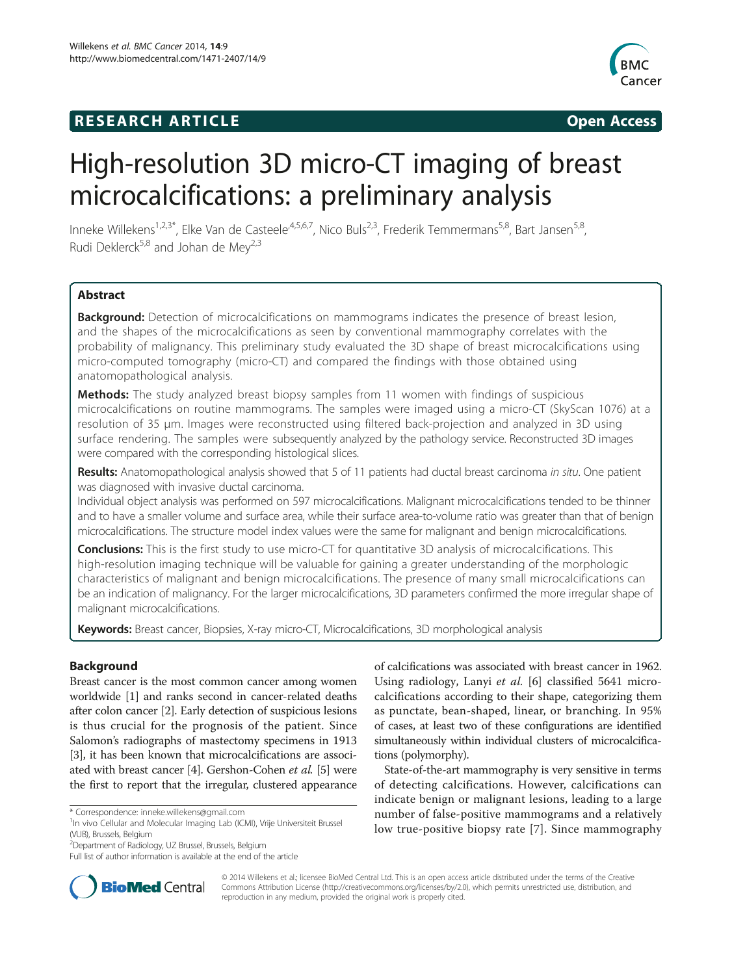# **RESEARCH ARTICLE Example 2014 12:30 The SEAR CHA RESEARCH ARTICLE**



# High-resolution 3D micro-CT imaging of breast microcalcifications: a preliminary analysis

Inneke Willekens<sup>1,2,3\*</sup>, Elke Van de Casteele<sup>,4,5,6,7</sup>, Nico Buls<sup>2,3</sup>, Frederik Temmermans<sup>5,8</sup>, Bart Jansen<sup>5,8</sup>, Rudi Deklerck<sup>5,8</sup> and Johan de Mey<sup>2,3</sup>

# **Abstract**

**Background:** Detection of microcalcifications on mammograms indicates the presence of breast lesion, and the shapes of the microcalcifications as seen by conventional mammography correlates with the probability of malignancy. This preliminary study evaluated the 3D shape of breast microcalcifications using micro-computed tomography (micro-CT) and compared the findings with those obtained using anatomopathological analysis.

Methods: The study analyzed breast biopsy samples from 11 women with findings of suspicious microcalcifications on routine mammograms. The samples were imaged using a micro-CT (SkyScan 1076) at a resolution of 35 μm. Images were reconstructed using filtered back-projection and analyzed in 3D using surface rendering. The samples were subsequently analyzed by the pathology service. Reconstructed 3D images were compared with the corresponding histological slices.

Results: Anatomopathological analysis showed that 5 of 11 patients had ductal breast carcinoma in situ. One patient was diagnosed with invasive ductal carcinoma.

Individual object analysis was performed on 597 microcalcifications. Malignant microcalcifications tended to be thinner and to have a smaller volume and surface area, while their surface area-to-volume ratio was greater than that of benign microcalcifications. The structure model index values were the same for malignant and benign microcalcifications.

**Conclusions:** This is the first study to use micro-CT for quantitative 3D analysis of microcalcifications. This high-resolution imaging technique will be valuable for gaining a greater understanding of the morphologic characteristics of malignant and benign microcalcifications. The presence of many small microcalcifications can be an indication of malignancy. For the larger microcalcifications, 3D parameters confirmed the more irregular shape of malignant microcalcifications.

Keywords: Breast cancer, Biopsies, X-ray micro-CT, Microcalcifications, 3D morphological analysis

# **Background**

Breast cancer is the most common cancer among women worldwide [\[1](#page-8-0)] and ranks second in cancer-related deaths after colon cancer [\[2](#page-8-0)]. Early detection of suspicious lesions is thus crucial for the prognosis of the patient. Since Salomon's radiographs of mastectomy specimens in 1913 [[3\]](#page-8-0), it has been known that microcalcifications are associated with breast cancer [\[4](#page-8-0)]. Gershon-Cohen et al. [[5\]](#page-8-0) were the first to report that the irregular, clustered appearance

2 Department of Radiology, UZ Brussel, Brussels, Belgium

of calcifications was associated with breast cancer in 1962. Using radiology, Lanyi et al. [\[6](#page-8-0)] classified 5641 microcalcifications according to their shape, categorizing them as punctate, bean-shaped, linear, or branching. In 95% of cases, at least two of these configurations are identified simultaneously within individual clusters of microcalcifications (polymorphy).

State-of-the-art mammography is very sensitive in terms of detecting calcifications. However, calcifications can indicate benign or malignant lesions, leading to a large number of false-positive mammograms and a relatively low true-positive biopsy rate [\[7\]](#page-8-0). Since mammography



© 2014 Willekens et al.; licensee BioMed Central Ltd. This is an open access article distributed under the terms of the Creative Commons Attribution License [\(http://creativecommons.org/licenses/by/2.0\)](http://creativecommons.org/licenses/by/2.0), which permits unrestricted use, distribution, and reproduction in any medium, provided the original work is properly cited.

<sup>\*</sup> Correspondence: [inneke.willekens@gmail.com](mailto:inneke.willekens@gmail.com) <sup>1</sup>

<sup>&</sup>lt;sup>1</sup>In vivo Cellular and Molecular Imaging Lab (ICMI), Vrije Universiteit Brussel (VUB), Brussels, Belgium

Full list of author information is available at the end of the article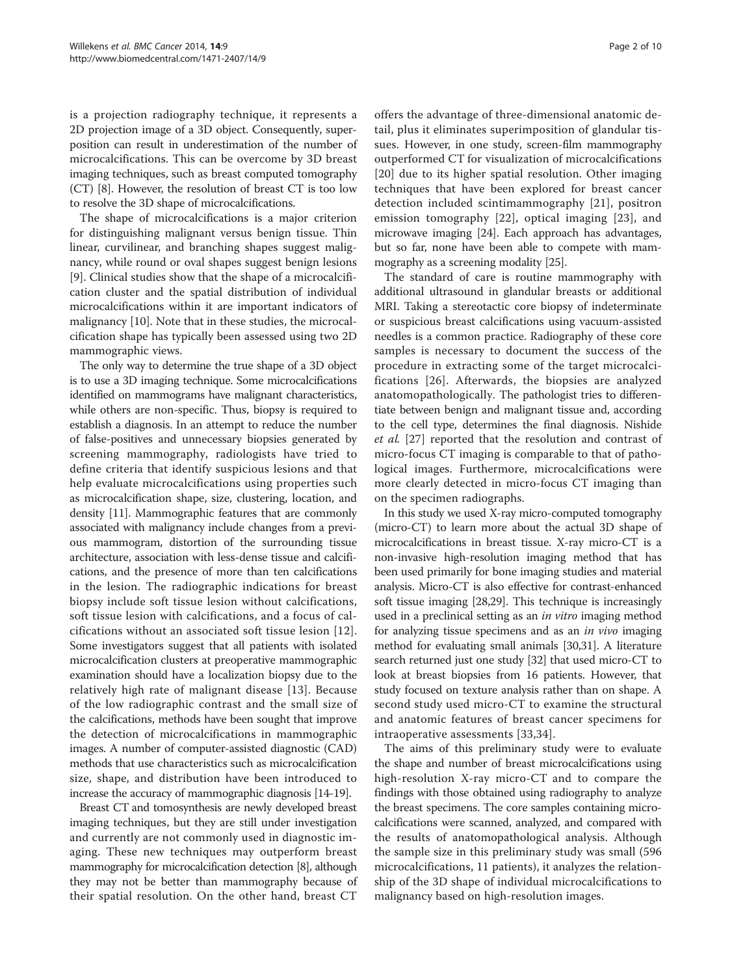is a projection radiography technique, it represents a 2D projection image of a 3D object. Consequently, superposition can result in underestimation of the number of microcalcifications. This can be overcome by 3D breast imaging techniques, such as breast computed tomography (CT) [\[8](#page-8-0)]. However, the resolution of breast CT is too low to resolve the 3D shape of microcalcifications.

The shape of microcalcifications is a major criterion for distinguishing malignant versus benign tissue. Thin linear, curvilinear, and branching shapes suggest malignancy, while round or oval shapes suggest benign lesions [[9\]](#page-8-0). Clinical studies show that the shape of a microcalcification cluster and the spatial distribution of individual microcalcifications within it are important indicators of malignancy [\[10\]](#page-8-0). Note that in these studies, the microcalcification shape has typically been assessed using two 2D mammographic views.

The only way to determine the true shape of a 3D object is to use a 3D imaging technique. Some microcalcifications identified on mammograms have malignant characteristics, while others are non-specific. Thus, biopsy is required to establish a diagnosis. In an attempt to reduce the number of false-positives and unnecessary biopsies generated by screening mammography, radiologists have tried to define criteria that identify suspicious lesions and that help evaluate microcalcifications using properties such as microcalcification shape, size, clustering, location, and density [[11](#page-8-0)]. Mammographic features that are commonly associated with malignancy include changes from a previous mammogram, distortion of the surrounding tissue architecture, association with less-dense tissue and calcifications, and the presence of more than ten calcifications in the lesion. The radiographic indications for breast biopsy include soft tissue lesion without calcifications, soft tissue lesion with calcifications, and a focus of calcifications without an associated soft tissue lesion [[12](#page-8-0)]. Some investigators suggest that all patients with isolated microcalcification clusters at preoperative mammographic examination should have a localization biopsy due to the relatively high rate of malignant disease [[13](#page-9-0)]. Because of the low radiographic contrast and the small size of the calcifications, methods have been sought that improve the detection of microcalcifications in mammographic images. A number of computer-assisted diagnostic (CAD) methods that use characteristics such as microcalcification size, shape, and distribution have been introduced to increase the accuracy of mammographic diagnosis [[14](#page-9-0)-[19\]](#page-9-0).

Breast CT and tomosynthesis are newly developed breast imaging techniques, but they are still under investigation and currently are not commonly used in diagnostic imaging. These new techniques may outperform breast mammography for microcalcification detection [\[8\]](#page-8-0), although they may not be better than mammography because of their spatial resolution. On the other hand, breast CT

offers the advantage of three-dimensional anatomic detail, plus it eliminates superimposition of glandular tissues. However, in one study, screen-film mammography outperformed CT for visualization of microcalcifications [[20\]](#page-9-0) due to its higher spatial resolution. Other imaging techniques that have been explored for breast cancer detection included scintimammography [\[21](#page-9-0)], positron emission tomography [\[22](#page-9-0)], optical imaging [\[23\]](#page-9-0), and microwave imaging [\[24\]](#page-9-0). Each approach has advantages, but so far, none have been able to compete with mammography as a screening modality [[25](#page-9-0)].

The standard of care is routine mammography with additional ultrasound in glandular breasts or additional MRI. Taking a stereotactic core biopsy of indeterminate or suspicious breast calcifications using vacuum-assisted needles is a common practice. Radiography of these core samples is necessary to document the success of the procedure in extracting some of the target microcalcifications [\[26\]](#page-9-0). Afterwards, the biopsies are analyzed anatomopathologically. The pathologist tries to differentiate between benign and malignant tissue and, according to the cell type, determines the final diagnosis. Nishide et al. [[27\]](#page-9-0) reported that the resolution and contrast of micro-focus CT imaging is comparable to that of pathological images. Furthermore, microcalcifications were more clearly detected in micro-focus CT imaging than on the specimen radiographs.

In this study we used X-ray micro-computed tomography (micro-CT) to learn more about the actual 3D shape of microcalcifications in breast tissue. X-ray micro-CT is a non-invasive high-resolution imaging method that has been used primarily for bone imaging studies and material analysis. Micro-CT is also effective for contrast-enhanced soft tissue imaging [\[28,29\]](#page-9-0). This technique is increasingly used in a preclinical setting as an *in vitro* imaging method for analyzing tissue specimens and as an in vivo imaging method for evaluating small animals [\[30,31\]](#page-9-0). A literature search returned just one study [\[32\]](#page-9-0) that used micro-CT to look at breast biopsies from 16 patients. However, that study focused on texture analysis rather than on shape. A second study used micro-CT to examine the structural and anatomic features of breast cancer specimens for intraoperative assessments [[33,34\]](#page-9-0).

The aims of this preliminary study were to evaluate the shape and number of breast microcalcifications using high-resolution X-ray micro-CT and to compare the findings with those obtained using radiography to analyze the breast specimens. The core samples containing microcalcifications were scanned, analyzed, and compared with the results of anatomopathological analysis. Although the sample size in this preliminary study was small (596 microcalcifications, 11 patients), it analyzes the relationship of the 3D shape of individual microcalcifications to malignancy based on high-resolution images.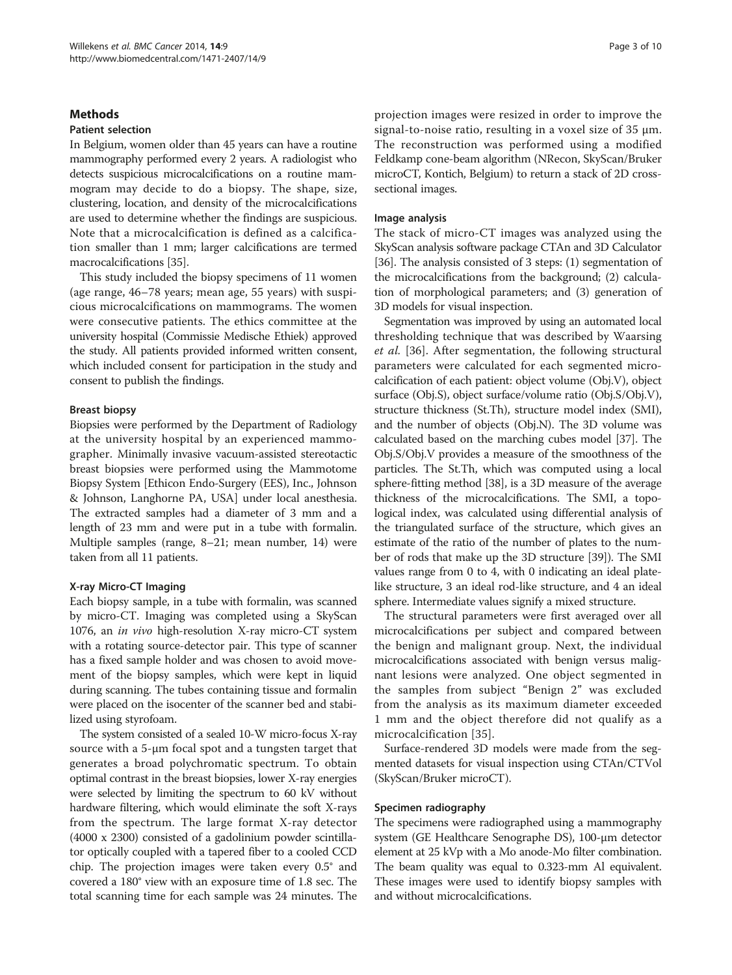# **Methods**

#### Patient selection

In Belgium, women older than 45 years can have a routine mammography performed every 2 years. A radiologist who detects suspicious microcalcifications on a routine mammogram may decide to do a biopsy. The shape, size, clustering, location, and density of the microcalcifications are used to determine whether the findings are suspicious. Note that a microcalcification is defined as a calcification smaller than 1 mm; larger calcifications are termed macrocalcifications [\[35\]](#page-9-0).

This study included the biopsy specimens of 11 women (age range, 46–78 years; mean age, 55 years) with suspicious microcalcifications on mammograms. The women were consecutive patients. The ethics committee at the university hospital (Commissie Medische Ethiek) approved the study. All patients provided informed written consent, which included consent for participation in the study and consent to publish the findings.

#### Breast biopsy

Biopsies were performed by the Department of Radiology at the university hospital by an experienced mammographer. Minimally invasive vacuum-assisted stereotactic breast biopsies were performed using the Mammotome Biopsy System [Ethicon Endo-Surgery (EES), Inc., Johnson & Johnson, Langhorne PA, USA] under local anesthesia. The extracted samples had a diameter of 3 mm and a length of 23 mm and were put in a tube with formalin. Multiple samples (range, 8–21; mean number, 14) were taken from all 11 patients.

#### X-ray Micro-CT Imaging

Each biopsy sample, in a tube with formalin, was scanned by micro-CT. Imaging was completed using a SkyScan 1076, an in vivo high-resolution X-ray micro-CT system with a rotating source-detector pair. This type of scanner has a fixed sample holder and was chosen to avoid movement of the biopsy samples, which were kept in liquid during scanning. The tubes containing tissue and formalin were placed on the isocenter of the scanner bed and stabilized using styrofoam.

The system consisted of a sealed 10-W micro-focus X-ray source with a 5-μm focal spot and a tungsten target that generates a broad polychromatic spectrum. To obtain optimal contrast in the breast biopsies, lower X-ray energies were selected by limiting the spectrum to 60 kV without hardware filtering, which would eliminate the soft X-rays from the spectrum. The large format X-ray detector (4000 x 2300) consisted of a gadolinium powder scintillator optically coupled with a tapered fiber to a cooled CCD chip. The projection images were taken every 0.5° and covered a 180° view with an exposure time of 1.8 sec. The total scanning time for each sample was 24 minutes. The

projection images were resized in order to improve the signal-to-noise ratio, resulting in a voxel size of 35 μm. The reconstruction was performed using a modified Feldkamp cone-beam algorithm (NRecon, SkyScan/Bruker microCT, Kontich, Belgium) to return a stack of 2D crosssectional images.

#### Image analysis

The stack of micro-CT images was analyzed using the SkyScan analysis software package CTAn and 3D Calculator [[36](#page-9-0)]. The analysis consisted of 3 steps: (1) segmentation of the microcalcifications from the background; (2) calculation of morphological parameters; and (3) generation of 3D models for visual inspection.

Segmentation was improved by using an automated local thresholding technique that was described by Waarsing et al. [\[36](#page-9-0)]. After segmentation, the following structural parameters were calculated for each segmented microcalcification of each patient: object volume (Obj.V), object surface (Obj.S), object surface/volume ratio (Obj.S/Obj.V), structure thickness (St.Th), structure model index (SMI), and the number of objects (Obj.N). The 3D volume was calculated based on the marching cubes model [\[37\]](#page-9-0). The Obj.S/Obj.V provides a measure of the smoothness of the particles. The St.Th, which was computed using a local sphere-fitting method [[38\]](#page-9-0), is a 3D measure of the average thickness of the microcalcifications. The SMI, a topological index, was calculated using differential analysis of the triangulated surface of the structure, which gives an estimate of the ratio of the number of plates to the number of rods that make up the 3D structure [[39](#page-9-0)]). The SMI values range from 0 to 4, with 0 indicating an ideal platelike structure, 3 an ideal rod-like structure, and 4 an ideal sphere. Intermediate values signify a mixed structure.

The structural parameters were first averaged over all microcalcifications per subject and compared between the benign and malignant group. Next, the individual microcalcifications associated with benign versus malignant lesions were analyzed. One object segmented in the samples from subject "Benign 2" was excluded from the analysis as its maximum diameter exceeded 1 mm and the object therefore did not qualify as a microcalcification [[35](#page-9-0)].

Surface-rendered 3D models were made from the segmented datasets for visual inspection using CTAn/CTVol (SkyScan/Bruker microCT).

#### Specimen radiography

The specimens were radiographed using a mammography system (GE Healthcare Senographe DS), 100-μm detector element at 25 kVp with a Mo anode-Mo filter combination. The beam quality was equal to 0.323-mm Al equivalent. These images were used to identify biopsy samples with and without microcalcifications.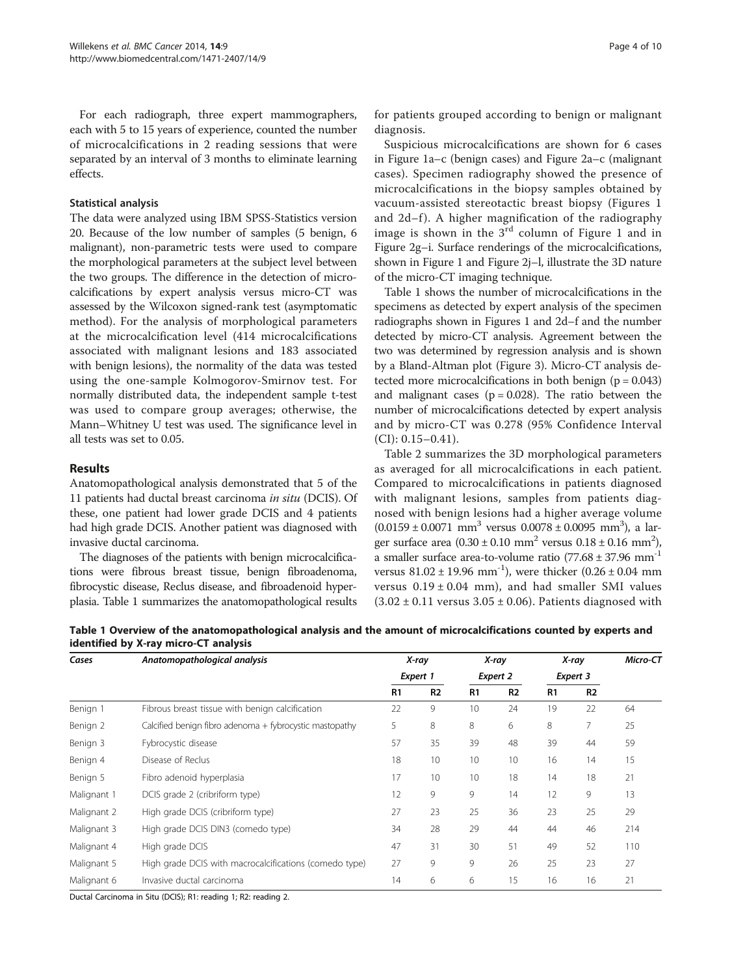<span id="page-3-0"></span>For each radiograph, three expert mammographers, each with 5 to 15 years of experience, counted the number of microcalcifications in 2 reading sessions that were separated by an interval of 3 months to eliminate learning effects.

# Statistical analysis

The data were analyzed using IBM SPSS-Statistics version 20. Because of the low number of samples (5 benign, 6 malignant), non-parametric tests were used to compare the morphological parameters at the subject level between the two groups. The difference in the detection of microcalcifications by expert analysis versus micro-CT was assessed by the Wilcoxon signed-rank test (asymptomatic method). For the analysis of morphological parameters at the microcalcification level (414 microcalcifications associated with malignant lesions and 183 associated with benign lesions), the normality of the data was tested using the one-sample Kolmogorov-Smirnov test. For normally distributed data, the independent sample t-test was used to compare group averages; otherwise, the Mann–Whitney U test was used. The significance level in all tests was set to 0.05.

# Results

Anatomopathological analysis demonstrated that 5 of the 11 patients had ductal breast carcinoma in situ (DCIS). Of these, one patient had lower grade DCIS and 4 patients had high grade DCIS. Another patient was diagnosed with invasive ductal carcinoma.

The diagnoses of the patients with benign microcalcifications were fibrous breast tissue, benign fibroadenoma, fibrocystic disease, Reclus disease, and fibroadenoid hyperplasia. Table 1 summarizes the anatomopathological results for patients grouped according to benign or malignant diagnosis.

Suspicious microcalcifications are shown for 6 cases in Figure [1a](#page-4-0)–c (benign cases) and Figure [2a](#page-4-0)–c (malignant cases). Specimen radiography showed the presence of microcalcifications in the biopsy samples obtained by vacuum-assisted stereotactic breast biopsy (Figures [1](#page-4-0) and  $2d-f$ ). A higher magnification of the radiography image is shown in the  $3<sup>rd</sup>$  column of Figure [1](#page-4-0) and in Figure [2](#page-4-0)g–i. Surface renderings of the microcalcifications, shown in Figure [1](#page-4-0) and Figure [2j](#page-4-0)–l, illustrate the 3D nature of the micro-CT imaging technique.

Table 1 shows the number of microcalcifications in the specimens as detected by expert analysis of the specimen radiographs shown in Figures [1](#page-4-0) and [2d](#page-4-0)–f and the number detected by micro-CT analysis. Agreement between the two was determined by regression analysis and is shown by a Bland-Altman plot (Figure [3](#page-5-0)). Micro-CT analysis detected more microcalcifications in both benign  $(p = 0.043)$ and malignant cases ( $p = 0.028$ ). The ratio between the number of microcalcifications detected by expert analysis and by micro-CT was 0.278 (95% Confidence Interval (CI): 0.15–0.41).

Table [2](#page-5-0) summarizes the 3D morphological parameters as averaged for all microcalcifications in each patient. Compared to microcalcifications in patients diagnosed with malignant lesions, samples from patients diagnosed with benign lesions had a higher average volume  $(0.0159 \pm 0.0071 \text{ mm}^3 \text{ versus } 0.0078 \pm 0.0095 \text{ mm}^3)$ , a larger surface area  $(0.30 \pm 0.10 \text{ mm}^2 \text{ versus } 0.18 \pm 0.16 \text{ mm}^2)$ , a smaller surface area-to-volume ratio  $(77.68 \pm 37.96 \text{ mm}^{-1})$ versus  $81.02 \pm 19.96$  mm<sup>-1</sup>), were thicker  $(0.26 \pm 0.04$  mm versus  $0.19 \pm 0.04$  mm), and had smaller SMI values  $(3.02 \pm 0.11$  versus  $3.05 \pm 0.06$ ). Patients diagnosed with

Table 1 Overview of the anatomopathological analysis and the amount of microcalcifications counted by experts and identified by X-ray micro-CT analysis

| Cases       | Anatomopathological analysis                            |                | X-ray          |                 | X-ray |                | X-ray          | Micro-CT |
|-------------|---------------------------------------------------------|----------------|----------------|-----------------|-------|----------------|----------------|----------|
|             |                                                         | Expert 1       |                | <b>Expert 2</b> |       | Expert 3       |                |          |
|             |                                                         | R <sub>1</sub> | R <sub>2</sub> | R1              | R2    | R <sub>1</sub> | R <sub>2</sub> |          |
| Benign 1    | Fibrous breast tissue with benign calcification         | 22             | 9              | 10              | 24    | 19             | 22             | 64       |
| Benign 2    | Calcified benign fibro adenoma + fybrocystic mastopathy | 5              | 8              | 8               | 6     | 8              | 7              | 25       |
| Benign 3    | Fybrocystic disease                                     | 57             | 35             | 39              | 48    | 39             | 44             | 59       |
| Benign 4    | Disease of Reclus                                       | 18             | 10             | 10              | 10    | 16             | 14             | 15       |
| Benign 5    | Fibro adenoid hyperplasia                               | 17             | 10             | 10              | 18    | 14             | 18             | 21       |
| Malignant 1 | DCIS grade 2 (cribriform type)                          | 12             | 9              | 9               | 14    | 12             | 9              | 13       |
| Malignant 2 | High grade DCIS (cribriform type)                       | 27             | 23             | 25              | 36    | 23             | 25             | 29       |
| Malignant 3 | High grade DCIS DIN3 (comedo type)                      | 34             | 28             | 29              | 44    | 44             | 46             | 214      |
| Malignant 4 | High grade DCIS                                         | 47             | 31             | 30              | 51    | 49             | 52             | 110      |
| Malignant 5 | High grade DCIS with macrocalcifications (comedo type)  | 27             | 9              | 9               | 26    | 25             | 23             | 27       |
| Malignant 6 | Invasive ductal carcinoma                               | 14             | 6              | 6               | 15    | 16             | 16             | 21       |

Ductal Carcinoma in Situ (DCIS); R1: reading 1; R2: reading 2.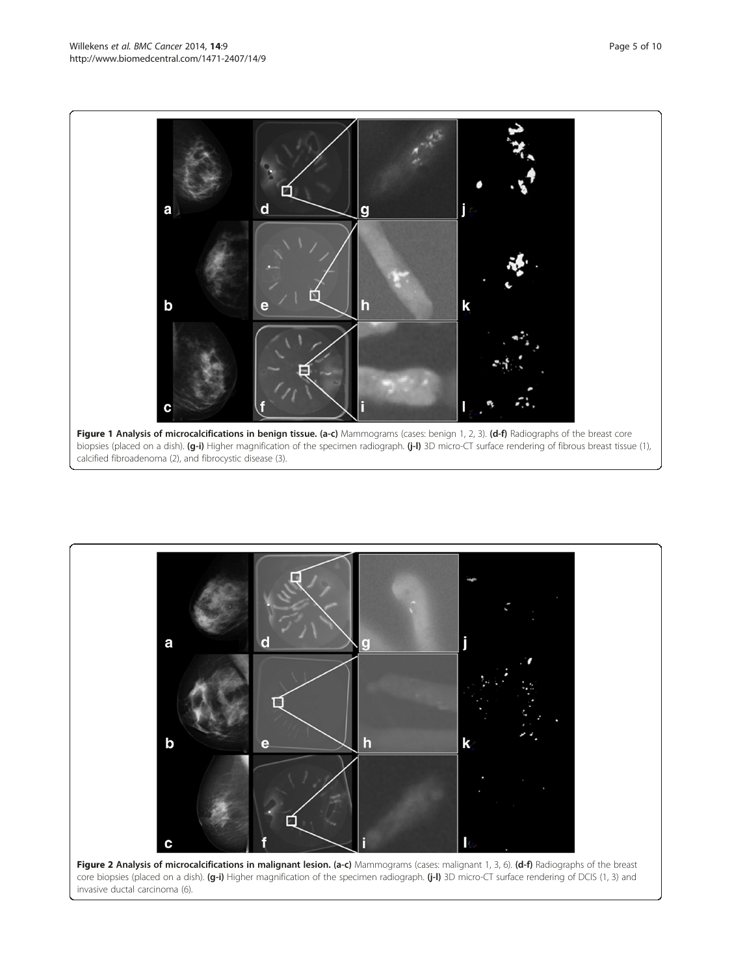<span id="page-4-0"></span>

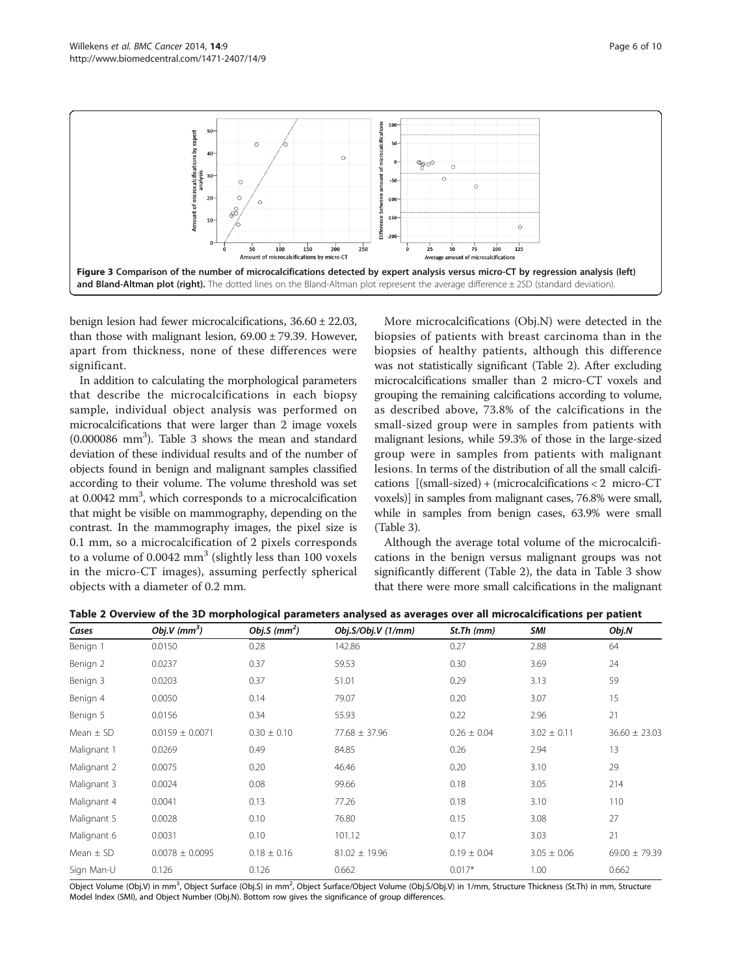<span id="page-5-0"></span>

benign lesion had fewer microcalcifications, 36.60 ± 22.03, than those with malignant lesion,  $69.00 \pm 79.39$ . However, apart from thickness, none of these differences were significant.

In addition to calculating the morphological parameters that describe the microcalcifications in each biopsy sample, individual object analysis was performed on microcalcifications that were larger than 2 image voxels (0.000086 mm3 ). Table [3](#page-6-0) shows the mean and standard deviation of these individual results and of the number of objects found in benign and malignant samples classified according to their volume. The volume threshold was set at 0.0042 mm<sup>3</sup>, which corresponds to a microcalcification that might be visible on mammography, depending on the contrast. In the mammography images, the pixel size is 0.1 mm, so a microcalcification of 2 pixels corresponds to a volume of  $0.0042$  mm<sup>3</sup> (slightly less than 100 voxels in the micro-CT images), assuming perfectly spherical objects with a diameter of 0.2 mm.

More microcalcifications (Obj.N) were detected in the biopsies of patients with breast carcinoma than in the biopsies of healthy patients, although this difference was not statistically significant (Table 2). After excluding microcalcifications smaller than 2 micro-CT voxels and grouping the remaining calcifications according to volume, as described above, 73.8% of the calcifications in the small-sized group were in samples from patients with malignant lesions, while 59.3% of those in the large-sized group were in samples from patients with malignant lesions. In terms of the distribution of all the small calcifications [(small-sized) + (microcalcifications < 2 micro-CT voxels)] in samples from malignant cases, 76.8% were small, while in samples from benign cases, 63.9% were small (Table [3](#page-6-0)).

Although the average total volume of the microcalcifications in the benign versus malignant groups was not significantly different (Table 2), the data in Table [3](#page-6-0) show that there were more small calcifications in the malignant

| Cases         | Obj.V (mm <sup>3</sup> ) | Obj.S $(mm^2)$  | Obj.S/Obj.V (1/mm) | St.Th (mm)      | SMI             | Obj.N             |
|---------------|--------------------------|-----------------|--------------------|-----------------|-----------------|-------------------|
| Benign 1      | 0.0150                   | 0.28            | 142.86             | 0.27            | 2.88            | 64                |
| Benign 2      | 0.0237                   | 0.37            | 59.53              | 0.30            | 3.69            | 24                |
| Benign 3      | 0.0203                   | 0.37            | 51.01              | 0.29            | 3.13            | 59                |
| Benign 4      | 0.0050                   | 0.14            | 79.07              | 0.20            | 3.07            | 15                |
| Benign 5      | 0.0156                   | 0.34            | 55.93              | 0.22            | 2.96            | 21                |
| Mean $\pm$ SD | $0.0159 \pm 0.0071$      | $0.30 \pm 0.10$ | $77.68 \pm 37.96$  | $0.26 \pm 0.04$ | $3.02 \pm 0.11$ | $36.60 \pm 23.03$ |
| Malignant 1   | 0.0269                   | 0.49            | 84.85              | 0.26            | 2.94            | 13                |
| Malignant 2   | 0.0075                   | 0.20            | 46.46              | 0.20            | 3.10            | 29                |
| Malignant 3   | 0.0024                   | 0.08            | 99.66              | 0.18            | 3.05            | 214               |
| Malignant 4   | 0.0041                   | 0.13            | 77.26              | 0.18            | 3.10            | 110               |
| Malignant 5   | 0.0028                   | 0.10            | 76.80              | 0.15            | 3.08            | 27                |
| Malignant 6   | 0.0031                   | 0.10            | 101.12             | 0.17            | 3.03            | 21                |
| Mean $\pm$ SD | $0.0078 \pm 0.0095$      | $0.18 \pm 0.16$ | $81.02 \pm 19.96$  | $0.19 \pm 0.04$ | $3.05 \pm 0.06$ | 69.00 $\pm$ 79.39 |
| Sign Man-U    | 0.126                    | 0.126           | 0.662              | $0.017*$        | 1.00            | 0.662             |

Table 2 Overview of the 3D morphological parameters analysed as averages over all microcalcifications per patient

Object Volume (Obj.V) in mm<sup>3</sup>, Object Surface (Obj.S) in mm<sup>2</sup>, Object Surface/Object Volume (Obj.S/Obj.V) in 1/mm, Structure Thickness (St.Th) in mm, Structure Model Index (SMI), and Object Number (Obj.N). Bottom row gives the significance of group differences.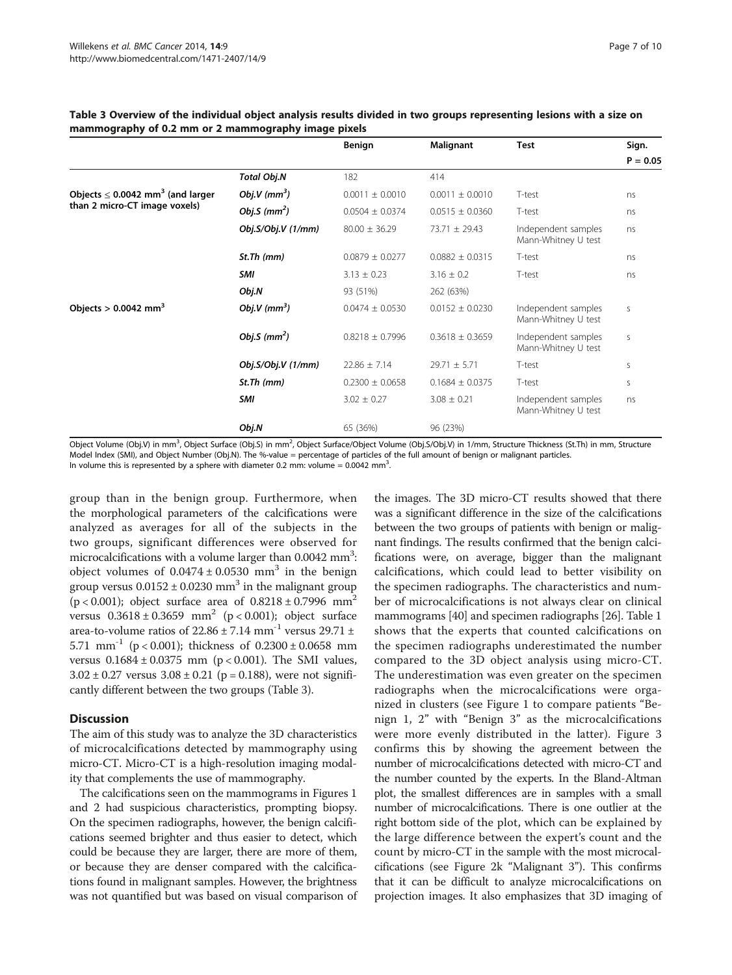|                                                   |                    | Benign              | Malignant           | <b>Test</b>                                | Sign.      |
|---------------------------------------------------|--------------------|---------------------|---------------------|--------------------------------------------|------------|
|                                                   |                    |                     |                     |                                            | $P = 0.05$ |
|                                                   | <b>Total Obj.N</b> | 182                 | 414                 |                                            |            |
| Objects $\leq$ 0.0042 mm <sup>3</sup> (and larger | Obj.V $(mm^3)$     | $0.0011 \pm 0.0010$ | $0.0011 \pm 0.0010$ | T-test                                     | ns         |
| than 2 micro-CT image voxels)                     | Obj.S $(mm^2)$     | $0.0504 \pm 0.0374$ | $0.0515 \pm 0.0360$ | T-test                                     | ns         |
|                                                   | Obj.S/Obj.V (1/mm) | $80.00 \pm 36.29$   | $73.71 \pm 29.43$   | Independent samples<br>Mann-Whitney U test | ns         |
|                                                   | St.Th (mm)         | $0.0879 \pm 0.0277$ | $0.0882 \pm 0.0315$ | T-test                                     | ns         |
|                                                   | <b>SMI</b>         | $3.13 \pm 0.23$     | $3.16 \pm 0.2$      | T-test                                     | ns         |
|                                                   | Obj.N              | 93 (51%)            | 262 (63%)           |                                            |            |
| Objects $> 0.0042$ mm <sup>3</sup>                | Obj.V $(mm^3)$     | $0.0474 \pm 0.0530$ | $0.0152 \pm 0.0230$ | Independent samples<br>Mann-Whitney U test | S          |
|                                                   | Obj.S $(mm^2)$     | $0.8218 \pm 0.7996$ | $0.3618 \pm 0.3659$ | Independent samples<br>Mann-Whitney U test | S          |
|                                                   | Obj.S/Obj.V (1/mm) | $22.86 \pm 7.14$    | $29.71 \pm 5.71$    | T-test                                     | S          |
|                                                   | St.Th (mm)         | $0.2300 \pm 0.0658$ | $0.1684 \pm 0.0375$ | T-test                                     | S          |
|                                                   | <b>SMI</b>         | $3.02 \pm 0.27$     | $3.08 \pm 0.21$     | Independent samples<br>Mann-Whitney U test | ns         |
|                                                   | Obj.N              | 65 (36%)            | 96 (23%)            |                                            |            |

#### <span id="page-6-0"></span>Table 3 Overview of the individual object analysis results divided in two groups representing lesions with a size on mammography of 0.2 mm or 2 mammography image pixels

Model Index (SMI), and Object Number (Obj.N). The %-value = percentage of particles of the full amount of benign or malignant particles. In volume this is represented by a sphere with diameter 0.2 mm: volume =  $0.0042$  mm<sup>3</sup>. .

group than in the benign group. Furthermore, when the morphological parameters of the calcifications were analyzed as averages for all of the subjects in the two groups, significant differences were observed for microcalcifications with a volume larger than  $0.0042$  mm<sup>3</sup>: object volumes of  $0.0474 \pm 0.0530$  mm<sup>3</sup> in the benign group versus  $0.0152 \pm 0.0230$  mm<sup>3</sup> in the malignant group (p < 0.001); object surface area of  $0.8218 \pm 0.7996$  mm<sup>2</sup> versus  $0.3618 \pm 0.3659$  mm<sup>2</sup> (p < 0.001); object surface area-to-volume ratios of  $22.86 \pm 7.14$  mm<sup>-1</sup> versus 29.71  $\pm$ 5.71 mm<sup>-1</sup> (p < 0.001); thickness of  $0.2300 \pm 0.0658$  mm versus  $0.1684 \pm 0.0375$  mm (p < 0.001). The SMI values,  $3.02 \pm 0.27$  versus  $3.08 \pm 0.21$  (p = 0.188), were not significantly different between the two groups (Table 3).

# **Discussion**

The aim of this study was to analyze the 3D characteristics of microcalcifications detected by mammography using micro-CT. Micro-CT is a high-resolution imaging modality that complements the use of mammography.

The calcifications seen on the mammograms in Figures [1](#page-4-0) and [2](#page-4-0) had suspicious characteristics, prompting biopsy. On the specimen radiographs, however, the benign calcifications seemed brighter and thus easier to detect, which could be because they are larger, there are more of them, or because they are denser compared with the calcifications found in malignant samples. However, the brightness was not quantified but was based on visual comparison of the images. The 3D micro-CT results showed that there was a significant difference in the size of the calcifications between the two groups of patients with benign or malignant findings. The results confirmed that the benign calcifications were, on average, bigger than the malignant calcifications, which could lead to better visibility on the specimen radiographs. The characteristics and number of microcalcifications is not always clear on clinical mammograms [\[40\]](#page-9-0) and specimen radiographs [[26](#page-9-0)]. Table [1](#page-3-0) shows that the experts that counted calcifications on the specimen radiographs underestimated the number compared to the 3D object analysis using micro-CT. The underestimation was even greater on the specimen radiographs when the microcalcifications were organized in clusters (see Figure [1](#page-4-0) to compare patients "Benign 1, 2" with "Benign 3" as the microcalcifications were more evenly distributed in the latter). Figure [3](#page-5-0) confirms this by showing the agreement between the number of microcalcifications detected with micro-CT and the number counted by the experts. In the Bland-Altman plot, the smallest differences are in samples with a small number of microcalcifications. There is one outlier at the right bottom side of the plot, which can be explained by the large difference between the expert's count and the count by micro-CT in the sample with the most microcalcifications (see Figure [2](#page-4-0)k "Malignant 3"). This confirms that it can be difficult to analyze microcalcifications on projection images. It also emphasizes that 3D imaging of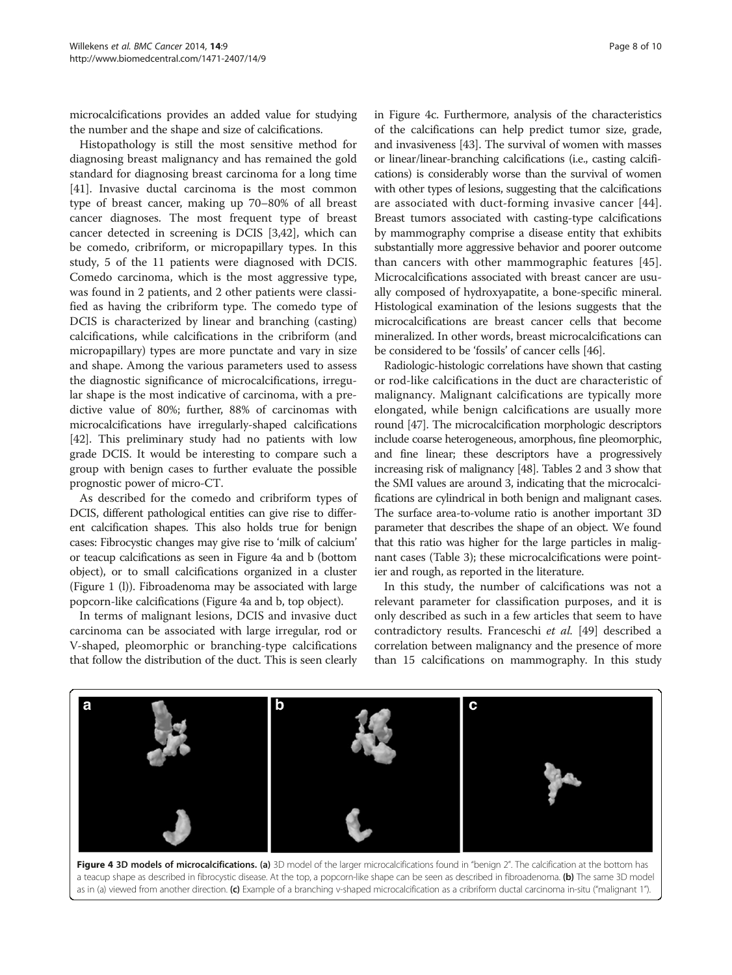microcalcifications provides an added value for studying the number and the shape and size of calcifications.

Histopathology is still the most sensitive method for diagnosing breast malignancy and has remained the gold standard for diagnosing breast carcinoma for a long time [[41\]](#page-9-0). Invasive ductal carcinoma is the most common type of breast cancer, making up 70–80% of all breast cancer diagnoses. The most frequent type of breast cancer detected in screening is DCIS [\[3](#page-8-0)[,42](#page-9-0)], which can be comedo, cribriform, or micropapillary types. In this study, 5 of the 11 patients were diagnosed with DCIS. Comedo carcinoma, which is the most aggressive type, was found in 2 patients, and 2 other patients were classified as having the cribriform type. The comedo type of DCIS is characterized by linear and branching (casting) calcifications, while calcifications in the cribriform (and micropapillary) types are more punctate and vary in size and shape. Among the various parameters used to assess the diagnostic significance of microcalcifications, irregular shape is the most indicative of carcinoma, with a predictive value of 80%; further, 88% of carcinomas with microcalcifications have irregularly-shaped calcifications [[42](#page-9-0)]. This preliminary study had no patients with low grade DCIS. It would be interesting to compare such a group with benign cases to further evaluate the possible prognostic power of micro-CT.

As described for the comedo and cribriform types of DCIS, different pathological entities can give rise to different calcification shapes. This also holds true for benign cases: Fibrocystic changes may give rise to 'milk of calcium' or teacup calcifications as seen in Figure 4a and b (bottom object), or to small calcifications organized in a cluster (Figure [1](#page-4-0) (l)). Fibroadenoma may be associated with large popcorn-like calcifications (Figure 4a and b, top object).

In terms of malignant lesions, DCIS and invasive duct carcinoma can be associated with large irregular, rod or V-shaped, pleomorphic or branching-type calcifications that follow the distribution of the duct. This is seen clearly in Figure 4c. Furthermore, analysis of the characteristics of the calcifications can help predict tumor size, grade, and invasiveness [[43](#page-9-0)]. The survival of women with masses or linear/linear-branching calcifications (i.e., casting calcifications) is considerably worse than the survival of women with other types of lesions, suggesting that the calcifications are associated with duct-forming invasive cancer [[44](#page-9-0)]. Breast tumors associated with casting-type calcifications by mammography comprise a disease entity that exhibits substantially more aggressive behavior and poorer outcome than cancers with other mammographic features [\[45](#page-9-0)]. Microcalcifications associated with breast cancer are usually composed of hydroxyapatite, a bone-specific mineral. Histological examination of the lesions suggests that the microcalcifications are breast cancer cells that become mineralized. In other words, breast microcalcifications can be considered to be 'fossils' of cancer cells [[46](#page-9-0)].

Radiologic-histologic correlations have shown that casting or rod-like calcifications in the duct are characteristic of malignancy. Malignant calcifications are typically more elongated, while benign calcifications are usually more round [\[47\]](#page-9-0). The microcalcification morphologic descriptors include coarse heterogeneous, amorphous, fine pleomorphic, and fine linear; these descriptors have a progressively increasing risk of malignancy [\[48](#page-9-0)]. Tables [2](#page-5-0) and [3](#page-6-0) show that the SMI values are around 3, indicating that the microcalcifications are cylindrical in both benign and malignant cases. The surface area-to-volume ratio is another important 3D parameter that describes the shape of an object. We found that this ratio was higher for the large particles in malignant cases (Table [3](#page-6-0)); these microcalcifications were pointier and rough, as reported in the literature.

In this study, the number of calcifications was not a relevant parameter for classification purposes, and it is only described as such in a few articles that seem to have contradictory results. Franceschi et al. [[49\]](#page-9-0) described a correlation between malignancy and the presence of more than 15 calcifications on mammography. In this study



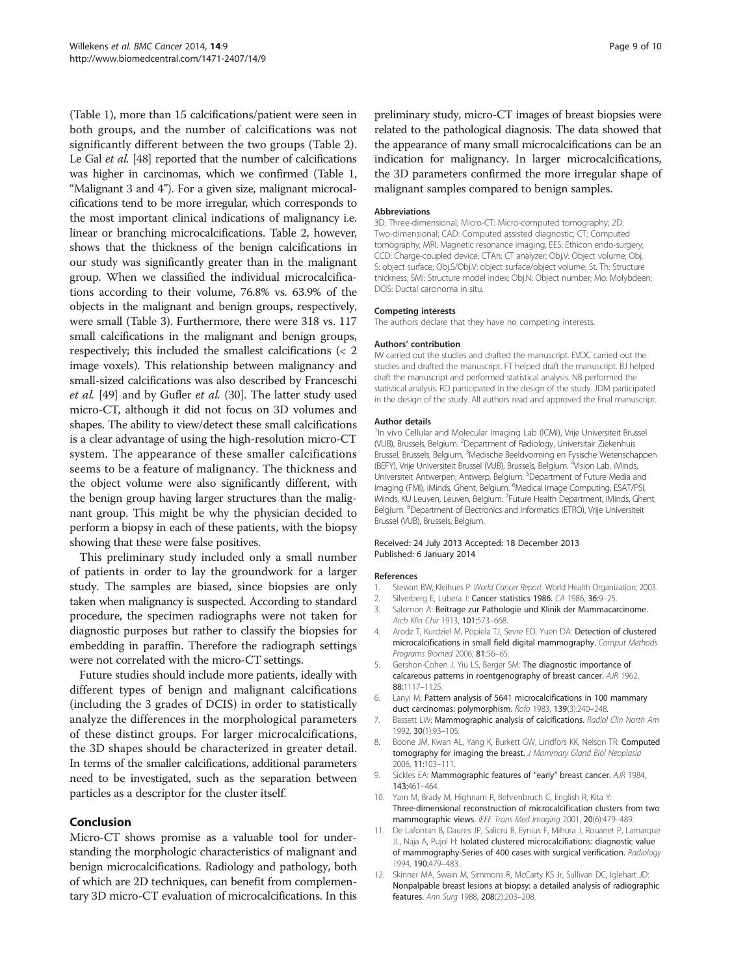<span id="page-8-0"></span>(Table [1](#page-3-0)), more than 15 calcifications/patient were seen in both groups, and the number of calcifications was not significantly different between the two groups (Table [2](#page-5-0)). Le Gal et al. [\[48](#page-9-0)] reported that the number of calcifications was higher in carcinomas, which we confirmed (Table [1](#page-3-0), "Malignant 3 and 4"). For a given size, malignant microcalcifications tend to be more irregular, which corresponds to the most important clinical indications of malignancy i.e. linear or branching microcalcifications. Table [2,](#page-5-0) however, shows that the thickness of the benign calcifications in our study was significantly greater than in the malignant group. When we classified the individual microcalcifications according to their volume, 76.8% vs. 63.9% of the objects in the malignant and benign groups, respectively, were small (Table [3](#page-6-0)). Furthermore, there were 318 vs. 117 small calcifications in the malignant and benign groups, respectively; this included the smallest calcifications (< 2 image voxels). This relationship between malignancy and small-sized calcifications was also described by Franceschi et al. [\[49](#page-9-0)] and by Gufler et al. (30]. The latter study used micro-CT, although it did not focus on 3D volumes and shapes. The ability to view/detect these small calcifications is a clear advantage of using the high-resolution micro-CT system. The appearance of these smaller calcifications seems to be a feature of malignancy. The thickness and the object volume were also significantly different, with the benign group having larger structures than the malignant group. This might be why the physician decided to perform a biopsy in each of these patients, with the biopsy showing that these were false positives.

This preliminary study included only a small number of patients in order to lay the groundwork for a larger study. The samples are biased, since biopsies are only taken when malignancy is suspected. According to standard procedure, the specimen radiographs were not taken for diagnostic purposes but rather to classify the biopsies for embedding in paraffin. Therefore the radiograph settings were not correlated with the micro-CT settings.

Future studies should include more patients, ideally with different types of benign and malignant calcifications (including the 3 grades of DCIS) in order to statistically analyze the differences in the morphological parameters of these distinct groups. For larger microcalcifications, the 3D shapes should be characterized in greater detail. In terms of the smaller calcifications, additional parameters need to be investigated, such as the separation between particles as a descriptor for the cluster itself.

# Conclusion

Micro-CT shows promise as a valuable tool for understanding the morphologic characteristics of malignant and benign microcalcifications. Radiology and pathology, both of which are 2D techniques, can benefit from complementary 3D micro-CT evaluation of microcalcifications. In this preliminary study, micro-CT images of breast biopsies were related to the pathological diagnosis. The data showed that the appearance of many small microcalcifications can be an indication for malignancy. In larger microcalcifications, the 3D parameters confirmed the more irregular shape of malignant samples compared to benign samples.

#### **Abbreviations**

3D: Three-dimensional; Micro-CT: Micro-computed tomography; 2D: Two-dimensional; CAD: Computed assisted diagnostic; CT: Computed tomography; MRI: Magnetic resonance imaging; EES: Ethicon endo-surgery; CCD: Charge-coupled device; CTAn: CT analyzer; Obj.V: Object volume; Obj. S: object surface; Obj.S/Obj.V: object surface/object volume; St. Th: Structure thickness; SMI: Structure model index; Obj.N: Object number; Mo: Molybdeen; DCIS: Ductal carcinoma in situ.

#### Competing interests

The authors declare that they have no competing interests.

#### Authors' contribution

IW carried out the studies and drafted the manuscript. EVDC carried out the studies and drafted the manuscript. FT helped draft the manuscript. BJ helped draft the manuscript and performed statistical analysis. NB performed the statistical analysis. RD participated in the design of the study. JDM participated in the design of the study. All authors read and approved the final manuscript.

#### Author details

<sup>1</sup>In vivo Cellular and Molecular Imaging Lab (ICMI), Vrije Universiteit Brussel (VUB), Brussels, Belgium. <sup>2</sup>Department of Radiology, Universitair Ziekenhuis Brussel, Brussels, Belgium. <sup>3</sup>Medische Beeldvorming en Fysische Wetenschappen (BEFY), Vrije Universiteit Brussel (VUB), Brussels, Belgium. <sup>4</sup>Vision Lab, iMinds Universiteit Antwerpen, Antwerp, Belgium. <sup>5</sup>Department of Future Media and Imaging (FMI), iMinds, Ghent, Belgium. <sup>6</sup>Medical Image Computing, ESAT/PSI iMinds, KU Leuven, Leuven, Belgium. <sup>7</sup>Future Health Department, iMinds, Ghent, Belgium. <sup>8</sup>Department of Electronics and Informatics (ETRO), Vrije Universiteit Brussel (VUB), Brussels, Belgium.

#### Received: 24 July 2013 Accepted: 18 December 2013 Published: 6 January 2014

#### References

- 1. Stewart BW, Kleihues P: World Cancer Report. World Health Organization; 2003.
- 2. Silverberg E, Lubera J: Cancer statistics 1986. CA 1986, 36:9-25.
- 3. Salomon A: Beitrage zur Pathologie und Klinik der Mammacarcinome. Arch Klin Chir 1913, 101:573–668.
- 4. Arodz T, Kurdziel M, Popiela TJ, Sevre EO, Yuen DA: Detection of clustered microcalcifications in small field digital mammography. Comput Methods Programs Biomed 2006, 81:56–65.
- 5. Gershon-Cohen J, Yiu LS, Berger SM: The diagnostic importance of calcareous patterns in roentgenography of breast cancer. AJR 1962, 88:1117–1125.
- 6. Lanyi M: Pattern analysis of 5641 microcalcifications in 100 mammary duct carcinomas: polymorphism. Rofo 1983, 139(3):240–248.
- Bassett LW: Mammographic analysis of calcifications. Radiol Clin North Am 1992, 30(1):93–105.
- 8. Boone JM, Kwan AL, Yang K, Burkett GW, Lindfors KK, Nelson TR: Computed tomography for imaging the breast. J Mammary Gland Biol Neoplasia 2006, 11:103–111.
- 9. Sickles EA: Mammographic features of "early" breast cancer. AJR 1984, 143:461–464.
- 10. Yam M, Brady M, Highnam R, Behrenbruch C, English R, Kita Y: Three-dimensional reconstruction of microcalcification clusters from two mammographic views. IEEE Trans Med Imaging 2001, 20(6):479-489.
- 11. De Lafontan B, Daures JP, Salicru B, Eynius F, Mihura J, Rouanet P, Lamarque JL, Naja A, Pujol H: Isolated clustered microcalcifiations: diagnostic value of mammography-Series of 400 cases with surgical verification. Radiology 1994, 190:479–483.
- 12. Skinner MA, Swain M, Simmons R, McCarty KS Jr, Sullivan DC, Iglehart JD: Nonpalpable breast lesions at biopsy: a detailed analysis of radiographic features. Ann Surg 1988, 208(2):203–208.